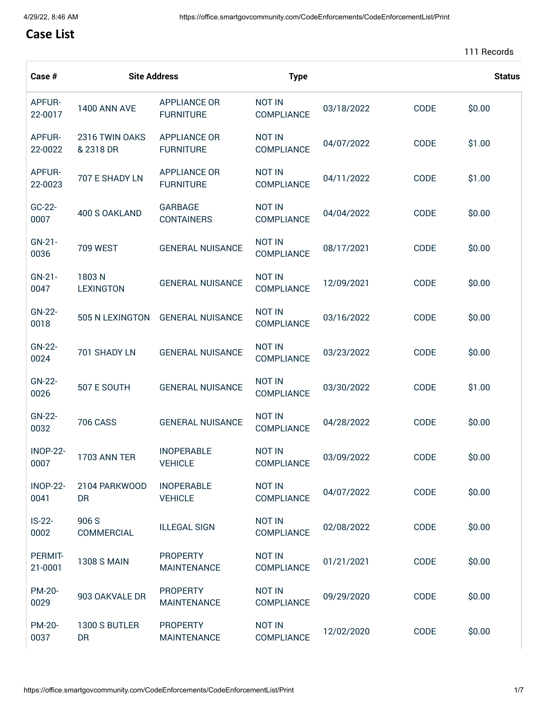## **Case List**

| Case #                   | <b>Site Address</b>         |                                         | <b>Type</b>                        |            |      |        |
|--------------------------|-----------------------------|-----------------------------------------|------------------------------------|------------|------|--------|
| <b>APFUR-</b><br>22-0017 | <b>1400 ANN AVE</b>         | <b>APPLIANCE OR</b><br><b>FURNITURE</b> | <b>NOT IN</b><br><b>COMPLIANCE</b> | 03/18/2022 | CODE | \$0.00 |
| <b>APFUR-</b><br>22-0022 | 2316 TWIN OAKS<br>& 2318 DR | <b>APPLIANCE OR</b><br><b>FURNITURE</b> | <b>NOT IN</b><br><b>COMPLIANCE</b> | 04/07/2022 | CODE | \$1.00 |
| APFUR-<br>22-0023        | 707 E SHADY LN              | <b>APPLIANCE OR</b><br><b>FURNITURE</b> | <b>NOT IN</b><br><b>COMPLIANCE</b> | 04/11/2022 | CODE | \$1.00 |
| GC-22-<br>0007           | 400 S OAKLAND               | <b>GARBAGE</b><br><b>CONTAINERS</b>     | <b>NOT IN</b><br><b>COMPLIANCE</b> | 04/04/2022 | CODE | \$0.00 |
| $GN-21-$<br>0036         | <b>709 WEST</b>             | <b>GENERAL NUISANCE</b>                 | <b>NOT IN</b><br>COMPLIANCE        | 08/17/2021 | CODE | \$0.00 |
| $GN-21-$<br>0047         | 1803N<br><b>LEXINGTON</b>   | <b>GENERAL NUISANCE</b>                 | <b>NOT IN</b><br>COMPLIANCE        | 12/09/2021 | CODE | \$0.00 |
| GN-22-<br>0018           | 505 N LEXINGTON             | <b>GENERAL NUISANCE</b>                 | <b>NOT IN</b><br>COMPLIANCE        | 03/16/2022 | CODE | \$0.00 |
| GN-22-<br>0024           | 701 SHADY LN                | <b>GENERAL NUISANCE</b>                 | <b>NOT IN</b><br>COMPLIANCE        | 03/23/2022 | CODE | \$0.00 |
| GN-22-<br>0026           | 507 E SOUTH                 | <b>GENERAL NUISANCE</b>                 | <b>NOT IN</b><br>COMPLIANCE        | 03/30/2022 | CODE | \$1.00 |
| GN-22-<br>0032           | <b>706 CASS</b>             | <b>GENERAL NUISANCE</b>                 | <b>NOT IN</b><br><b>COMPLIANCE</b> | 04/28/2022 | CODE | \$0.00 |
| <b>INOP-22-</b><br>0007  | 1703 ANN TER                | <b>INOPERABLE</b><br><b>VEHICLE</b>     | <b>NOT IN</b><br>COMPLIANCE        | 03/09/2022 | CODE | \$0.00 |
| <b>INOP-22-</b><br>0041  | 2104 PARKWOOD<br><b>DR</b>  | <b>INOPERABLE</b><br><b>VEHICLE</b>     | <b>NOT IN</b><br><b>COMPLIANCE</b> | 04/07/2022 | CODE | \$0.00 |
| $IS-22-$<br>0002         | 906 S<br>COMMERCIAL         | <b>ILLEGAL SIGN</b>                     | <b>NOT IN</b><br>COMPLIANCE        | 02/08/2022 | CODE | \$0.00 |
| PERMIT-<br>21-0001       | <b>1308 S MAIN</b>          | <b>PROPERTY</b><br><b>MAINTENANCE</b>   | <b>NOT IN</b><br>COMPLIANCE        | 01/21/2021 | CODE | \$0.00 |
| PM-20-<br>0029           | 903 OAKVALE DR              | <b>PROPERTY</b><br><b>MAINTENANCE</b>   | <b>NOT IN</b><br><b>COMPLIANCE</b> | 09/29/2020 | CODE | \$0.00 |
| PM-20-<br>0037           | 1300 S BUTLER<br><b>DR</b>  | <b>PROPERTY</b><br><b>MAINTENANCE</b>   | <b>NOT IN</b><br><b>COMPLIANCE</b> | 12/02/2020 | CODE | \$0.00 |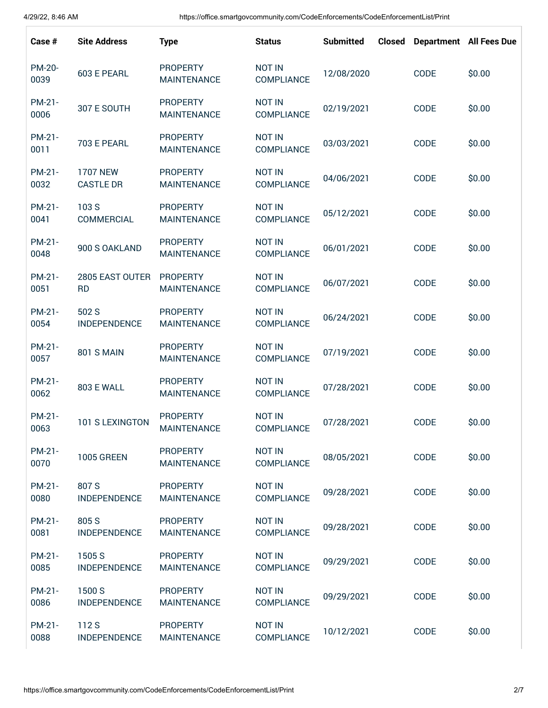| Case #         | <b>Site Address</b>                 | <b>Type</b>                           | <b>Status</b>               | <b>Submitted</b> | <b>Closed</b> |      | <b>Department</b> All Fees Due |
|----------------|-------------------------------------|---------------------------------------|-----------------------------|------------------|---------------|------|--------------------------------|
| PM-20-<br>0039 | 603 E PEARL                         | <b>PROPERTY</b><br><b>MAINTENANCE</b> | <b>NOT IN</b><br>COMPLIANCE | 12/08/2020       |               | CODE | \$0.00                         |
| PM-21-<br>0006 | 307 E SOUTH                         | <b>PROPERTY</b><br><b>MAINTENANCE</b> | <b>NOT IN</b><br>COMPLIANCE | 02/19/2021       |               | CODE | \$0.00                         |
| PM-21-<br>0011 | 703 E PEARL                         | <b>PROPERTY</b><br><b>MAINTENANCE</b> | <b>NOT IN</b><br>COMPLIANCE | 03/03/2021       |               | CODE | \$0.00                         |
| PM-21-<br>0032 | <b>1707 NEW</b><br><b>CASTLE DR</b> | <b>PROPERTY</b><br><b>MAINTENANCE</b> | <b>NOT IN</b><br>COMPLIANCE | 04/06/2021       |               | CODE | \$0.00                         |
| PM-21-<br>0041 | 103 S<br>COMMERCIAL                 | <b>PROPERTY</b><br><b>MAINTENANCE</b> | <b>NOT IN</b><br>COMPLIANCE | 05/12/2021       |               | CODE | \$0.00                         |
| PM-21-<br>0048 | 900 S OAKLAND                       | <b>PROPERTY</b><br><b>MAINTENANCE</b> | <b>NOT IN</b><br>COMPLIANCE | 06/01/2021       |               | CODE | \$0.00                         |
| PM-21-<br>0051 | 2805 EAST OUTER<br><b>RD</b>        | <b>PROPERTY</b><br><b>MAINTENANCE</b> | <b>NOT IN</b><br>COMPLIANCE | 06/07/2021       |               | CODE | \$0.00                         |
| PM-21-<br>0054 | 502 S<br><b>INDEPENDENCE</b>        | <b>PROPERTY</b><br><b>MAINTENANCE</b> | <b>NOT IN</b><br>COMPLIANCE | 06/24/2021       |               | CODE | \$0.00                         |
| PM-21-<br>0057 | <b>801 S MAIN</b>                   | <b>PROPERTY</b><br><b>MAINTENANCE</b> | <b>NOT IN</b><br>COMPLIANCE | 07/19/2021       |               | CODE | \$0.00                         |
| PM-21-<br>0062 | <b>803 E WALL</b>                   | <b>PROPERTY</b><br><b>MAINTENANCE</b> | <b>NOT IN</b><br>COMPLIANCE | 07/28/2021       |               | CODE | \$0.00                         |
| PM-21-<br>0063 | 101 S LEXINGTON                     | <b>PROPERTY</b><br><b>MAINTENANCE</b> | <b>NOT IN</b><br>COMPLIANCE | 07/28/2021       |               | CODE | \$0.00                         |
| PM-21-<br>0070 | <b>1005 GREEN</b>                   | <b>PROPERTY</b><br><b>MAINTENANCE</b> | <b>NOT IN</b><br>COMPLIANCE | 08/05/2021       |               | CODE | \$0.00                         |
| PM-21-<br>0080 | 807 S<br><b>INDEPENDENCE</b>        | <b>PROPERTY</b><br><b>MAINTENANCE</b> | <b>NOT IN</b><br>COMPLIANCE | 09/28/2021       |               | CODE | \$0.00                         |
| PM-21-<br>0081 | 805 S<br><b>INDEPENDENCE</b>        | <b>PROPERTY</b><br><b>MAINTENANCE</b> | <b>NOT IN</b><br>COMPLIANCE | 09/28/2021       |               | CODE | \$0.00                         |
| PM-21-<br>0085 | 1505 S<br><b>INDEPENDENCE</b>       | <b>PROPERTY</b><br><b>MAINTENANCE</b> | <b>NOT IN</b><br>COMPLIANCE | 09/29/2021       |               | CODE | \$0.00                         |
| PM-21-<br>0086 | 1500 S<br><b>INDEPENDENCE</b>       | <b>PROPERTY</b><br><b>MAINTENANCE</b> | <b>NOT IN</b><br>COMPLIANCE | 09/29/2021       |               | CODE | \$0.00                         |
| PM-21-<br>0088 | 112 S<br><b>INDEPENDENCE</b>        | <b>PROPERTY</b><br><b>MAINTENANCE</b> | <b>NOT IN</b><br>COMPLIANCE | 10/12/2021       |               | CODE | \$0.00                         |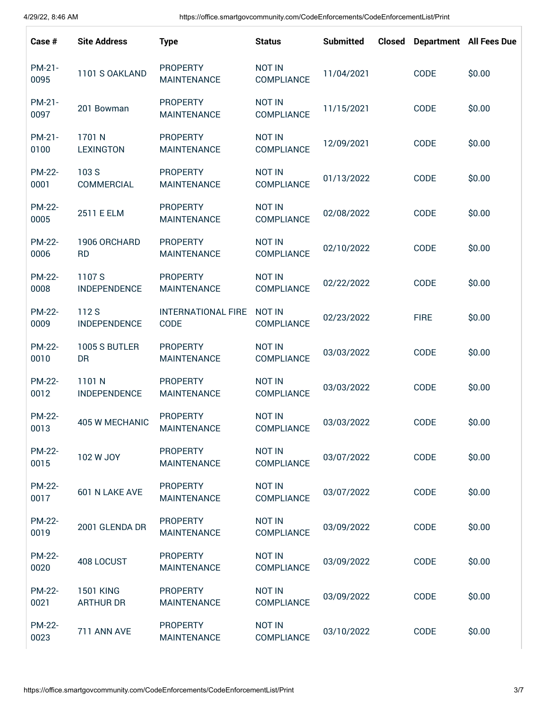| Case #                | <b>Site Address</b>                  | <b>Type</b>                           | <b>Status</b>                      | <b>Submitted</b> | <b>Closed</b> |             | <b>Department</b> All Fees Due |
|-----------------------|--------------------------------------|---------------------------------------|------------------------------------|------------------|---------------|-------------|--------------------------------|
| PM-21-<br>0095        | 1101 S OAKLAND                       | <b>PROPERTY</b><br><b>MAINTENANCE</b> | <b>NOT IN</b><br>COMPLIANCE        | 11/04/2021       |               | CODE        | \$0.00                         |
| PM-21-<br>0097        | 201 Bowman                           | <b>PROPERTY</b><br><b>MAINTENANCE</b> | <b>NOT IN</b><br>COMPLIANCE        | 11/15/2021       |               | CODE        | \$0.00                         |
| PM-21-<br>0100        | 1701 N<br><b>LEXINGTON</b>           | <b>PROPERTY</b><br><b>MAINTENANCE</b> | <b>NOT IN</b><br>COMPLIANCE        | 12/09/2021       |               | CODE        | \$0.00                         |
| <b>PM-22-</b><br>0001 | 103 S<br>COMMERCIAL                  | <b>PROPERTY</b><br><b>MAINTENANCE</b> | <b>NOT IN</b><br>COMPLIANCE        | 01/13/2022       |               | CODE        | \$0.00                         |
| <b>PM-22-</b><br>0005 | 2511 E ELM                           | <b>PROPERTY</b><br><b>MAINTENANCE</b> | <b>NOT IN</b><br>COMPLIANCE        | 02/08/2022       |               | CODE        | \$0.00                         |
| <b>PM-22-</b><br>0006 | 1906 ORCHARD<br><b>RD</b>            | <b>PROPERTY</b><br><b>MAINTENANCE</b> | <b>NOT IN</b><br><b>COMPLIANCE</b> | 02/10/2022       |               | CODE        | \$0.00                         |
| <b>PM-22-</b><br>0008 | 1107 S<br><b>INDEPENDENCE</b>        | <b>PROPERTY</b><br><b>MAINTENANCE</b> | <b>NOT IN</b><br>COMPLIANCE        | 02/22/2022       |               | CODE        | \$0.00                         |
| <b>PM-22-</b><br>0009 | 112 S<br><b>INDEPENDENCE</b>         | <b>INTERNATIONAL FIRE</b><br>CODE     | <b>NOT IN</b><br>COMPLIANCE        | 02/23/2022       |               | <b>FIRE</b> | \$0.00                         |
| <b>PM-22-</b><br>0010 | 1005 S BUTLER<br>DR                  | <b>PROPERTY</b><br><b>MAINTENANCE</b> | <b>NOT IN</b><br>COMPLIANCE        | 03/03/2022       |               | CODE        | \$0.00                         |
| PM-22-<br>0012        | 1101 N<br><b>INDEPENDENCE</b>        | <b>PROPERTY</b><br><b>MAINTENANCE</b> | <b>NOT IN</b><br><b>COMPLIANCE</b> | 03/03/2022       |               | CODE        | \$0.00                         |
| PM-22-<br>0013        | 405 W MECHANIC                       | <b>PROPERTY</b><br><b>MAINTENANCE</b> | <b>NOT IN</b><br>COMPLIANCE        | 03/03/2022       |               | CODE        | \$0.00                         |
| PM-22-<br>0015        | 102 W JOY                            | <b>PROPERTY</b><br><b>MAINTENANCE</b> | <b>NOT IN</b><br><b>COMPLIANCE</b> | 03/07/2022       |               | CODE        | \$0.00                         |
| <b>PM-22-</b><br>0017 | 601 N LAKE AVE                       | <b>PROPERTY</b><br><b>MAINTENANCE</b> | <b>NOT IN</b><br>COMPLIANCE        | 03/07/2022       |               | CODE        | \$0.00                         |
| PM-22-<br>0019        | 2001 GLENDA DR                       | <b>PROPERTY</b><br><b>MAINTENANCE</b> | <b>NOT IN</b><br>COMPLIANCE        | 03/09/2022       |               | CODE        | \$0.00                         |
| <b>PM-22-</b><br>0020 | 408 LOCUST                           | <b>PROPERTY</b><br><b>MAINTENANCE</b> | <b>NOT IN</b><br>COMPLIANCE        | 03/09/2022       |               | CODE        | \$0.00                         |
| <b>PM-22-</b><br>0021 | <b>1501 KING</b><br><b>ARTHUR DR</b> | <b>PROPERTY</b><br><b>MAINTENANCE</b> | <b>NOT IN</b><br><b>COMPLIANCE</b> | 03/09/2022       |               | CODE        | \$0.00                         |
| <b>PM-22-</b><br>0023 | 711 ANN AVE                          | <b>PROPERTY</b><br><b>MAINTENANCE</b> | <b>NOT IN</b><br><b>COMPLIANCE</b> | 03/10/2022       |               | CODE        | \$0.00                         |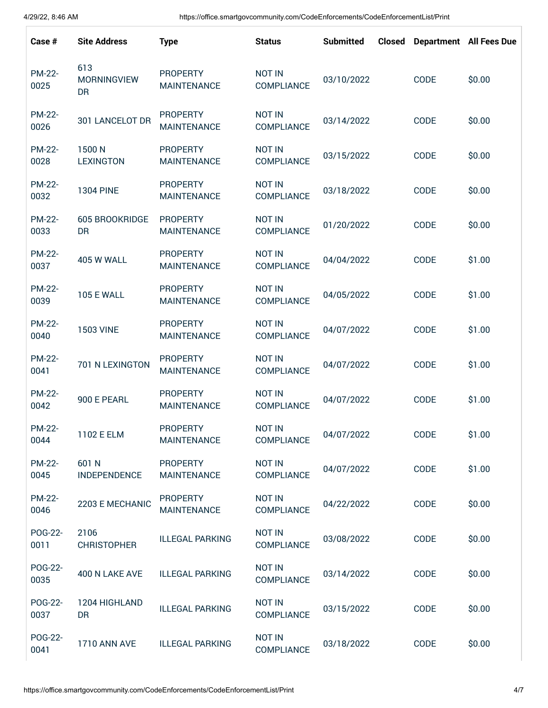| Case #                | <b>Site Address</b>             | <b>Type</b>                           | <b>Status</b>                      | <b>Submitted</b> | <b>Closed</b> |      | <b>Department</b> All Fees Due |
|-----------------------|---------------------------------|---------------------------------------|------------------------------------|------------------|---------------|------|--------------------------------|
| <b>PM-22-</b><br>0025 | 613<br><b>MORNINGVIEW</b><br>DR | <b>PROPERTY</b><br><b>MAINTENANCE</b> | <b>NOT IN</b><br>COMPLIANCE        | 03/10/2022       |               | CODE | \$0.00                         |
| <b>PM-22-</b><br>0026 | 301 LANCELOT DR                 | <b>PROPERTY</b><br><b>MAINTENANCE</b> | <b>NOT IN</b><br>COMPLIANCE        | 03/14/2022       |               | CODE | \$0.00                         |
| PM-22-<br>0028        | 1500N<br><b>LEXINGTON</b>       | <b>PROPERTY</b><br><b>MAINTENANCE</b> | <b>NOT IN</b><br>COMPLIANCE        | 03/15/2022       |               | CODE | \$0.00                         |
| <b>PM-22-</b><br>0032 | <b>1304 PINE</b>                | <b>PROPERTY</b><br><b>MAINTENANCE</b> | <b>NOT IN</b><br><b>COMPLIANCE</b> | 03/18/2022       |               | CODE | \$0.00                         |
| <b>PM-22-</b><br>0033 | <b>605 BROOKRIDGE</b><br>DR     | <b>PROPERTY</b><br><b>MAINTENANCE</b> | <b>NOT IN</b><br>COMPLIANCE        | 01/20/2022       |               | CODE | \$0.00                         |
| <b>PM-22-</b><br>0037 | <b>405 W WALL</b>               | <b>PROPERTY</b><br><b>MAINTENANCE</b> | <b>NOT IN</b><br><b>COMPLIANCE</b> | 04/04/2022       |               | CODE | \$1.00                         |
| <b>PM-22-</b><br>0039 | <b>105 E WALL</b>               | <b>PROPERTY</b><br><b>MAINTENANCE</b> | <b>NOT IN</b><br><b>COMPLIANCE</b> | 04/05/2022       |               | CODE | \$1.00                         |
| <b>PM-22-</b><br>0040 | <b>1503 VINE</b>                | <b>PROPERTY</b><br><b>MAINTENANCE</b> | <b>NOT IN</b><br>COMPLIANCE        | 04/07/2022       |               | CODE | \$1.00                         |
| <b>PM-22-</b><br>0041 | 701 N LEXINGTON                 | <b>PROPERTY</b><br><b>MAINTENANCE</b> | <b>NOT IN</b><br>COMPLIANCE        | 04/07/2022       |               | CODE | \$1.00                         |
| <b>PM-22-</b><br>0042 | 900 E PEARL                     | <b>PROPERTY</b><br><b>MAINTENANCE</b> | <b>NOT IN</b><br><b>COMPLIANCE</b> | 04/07/2022       |               | CODE | \$1.00                         |
| <b>PM-22-</b><br>0044 | 1102 E ELM                      | <b>PROPERTY</b><br><b>MAINTENANCE</b> | NOT IN<br>COMPLIANCE               | 04/07/2022       |               | CODE | \$1.00                         |
| <b>PM-22-</b><br>0045 | 601 N<br><b>INDEPENDENCE</b>    | <b>PROPERTY</b><br><b>MAINTENANCE</b> | <b>NOT IN</b><br>COMPLIANCE        | 04/07/2022       |               | CODE | \$1.00                         |
| <b>PM-22-</b><br>0046 | 2203 E MECHANIC                 | <b>PROPERTY</b><br><b>MAINTENANCE</b> | <b>NOT IN</b><br>COMPLIANCE        | 04/22/2022       |               | CODE | \$0.00                         |
| POG-22-<br>0011       | 2106<br><b>CHRISTOPHER</b>      | <b>ILLEGAL PARKING</b>                | <b>NOT IN</b><br>COMPLIANCE        | 03/08/2022       |               | CODE | \$0.00                         |
| POG-22-<br>0035       | 400 N LAKE AVE                  | <b>ILLEGAL PARKING</b>                | <b>NOT IN</b><br>COMPLIANCE        | 03/14/2022       |               | CODE | \$0.00                         |
| POG-22-<br>0037       | 1204 HIGHLAND<br><b>DR</b>      | <b>ILLEGAL PARKING</b>                | <b>NOT IN</b><br><b>COMPLIANCE</b> | 03/15/2022       |               | CODE | \$0.00                         |
| POG-22-<br>0041       | <b>1710 ANN AVE</b>             | <b>ILLEGAL PARKING</b>                | <b>NOT IN</b><br>COMPLIANCE        | 03/18/2022       |               | CODE | \$0.00                         |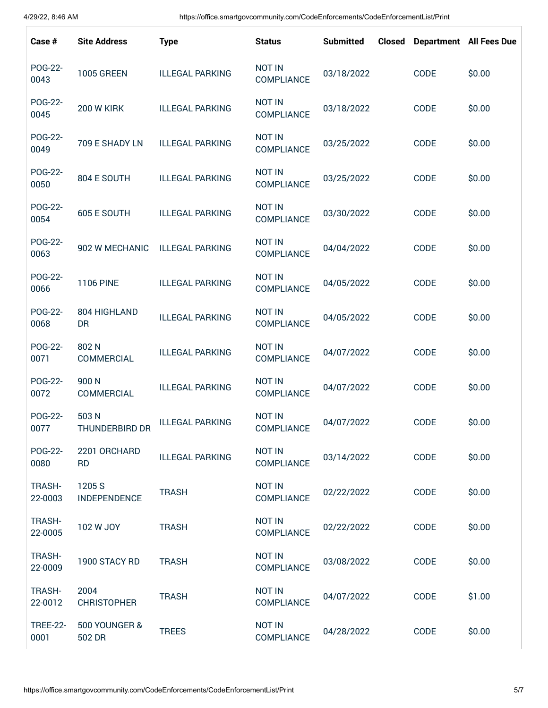| Case #                   | <b>Site Address</b>           | <b>Type</b>            | <b>Status</b>                      | <b>Submitted</b> | <b>Closed</b> |      | <b>Department</b> All Fees Due |
|--------------------------|-------------------------------|------------------------|------------------------------------|------------------|---------------|------|--------------------------------|
| POG-22-<br>0043          | <b>1005 GREEN</b>             | <b>ILLEGAL PARKING</b> | <b>NOT IN</b><br>COMPLIANCE        | 03/18/2022       |               | CODE | \$0.00                         |
| POG-22-<br>0045          | <b>200 W KIRK</b>             | <b>ILLEGAL PARKING</b> | <b>NOT IN</b><br>COMPLIANCE        | 03/18/2022       |               | CODE | \$0.00                         |
| POG-22-<br>0049          | 709 E SHADY LN                | <b>ILLEGAL PARKING</b> | <b>NOT IN</b><br>COMPLIANCE        | 03/25/2022       |               | CODE | \$0.00                         |
| POG-22-<br>0050          | 804 E SOUTH                   | <b>ILLEGAL PARKING</b> | <b>NOT IN</b><br>COMPLIANCE        | 03/25/2022       |               | CODE | \$0.00                         |
| POG-22-<br>0054          | 605 E SOUTH                   | <b>ILLEGAL PARKING</b> | <b>NOT IN</b><br>COMPLIANCE        | 03/30/2022       |               | CODE | \$0.00                         |
| POG-22-<br>0063          | 902 W MECHANIC                | <b>ILLEGAL PARKING</b> | <b>NOT IN</b><br>COMPLIANCE        | 04/04/2022       |               | CODE | \$0.00                         |
| POG-22-<br>0066          | <b>1106 PINE</b>              | <b>ILLEGAL PARKING</b> | <b>NOT IN</b><br>COMPLIANCE        | 04/05/2022       |               | CODE | \$0.00                         |
| POG-22-<br>0068          | 804 HIGHLAND<br>DR            | <b>ILLEGAL PARKING</b> | <b>NOT IN</b><br><b>COMPLIANCE</b> | 04/05/2022       |               | CODE | \$0.00                         |
| POG-22-<br>0071          | 802N<br>COMMERCIAL            | <b>ILLEGAL PARKING</b> | <b>NOT IN</b><br><b>COMPLIANCE</b> | 04/07/2022       |               | CODE | \$0.00                         |
| POG-22-<br>0072          | 900N<br>COMMERCIAL            | <b>ILLEGAL PARKING</b> | <b>NOT IN</b><br><b>COMPLIANCE</b> | 04/07/2022       |               | CODE | \$0.00                         |
| POG-22-<br>0077          | 503 N<br>THUNDERBIRD DR       | <b>ILLEGAL PARKING</b> | <b>NOT IN</b><br>COMPLIANCE        | 04/07/2022       |               | CODE | \$0.00                         |
| POG-22-<br>0080          | 2201 ORCHARD<br><b>RD</b>     | <b>ILLEGAL PARKING</b> | <b>NOT IN</b><br>COMPLIANCE        | 03/14/2022       |               | CODE | \$0.00                         |
| TRASH-<br>22-0003        | 1205 S<br><b>INDEPENDENCE</b> | <b>TRASH</b>           | <b>NOT IN</b><br>COMPLIANCE        | 02/22/2022       |               | CODE | \$0.00                         |
| TRASH-<br>22-0005        | 102 W JOY                     | <b>TRASH</b>           | <b>NOT IN</b><br>COMPLIANCE        | 02/22/2022       |               | CODE | \$0.00                         |
| <b>TRASH-</b><br>22-0009 | 1900 STACY RD                 | <b>TRASH</b>           | <b>NOT IN</b><br>COMPLIANCE        | 03/08/2022       |               | CODE | \$0.00                         |
| TRASH-<br>22-0012        | 2004<br><b>CHRISTOPHER</b>    | <b>TRASH</b>           | <b>NOT IN</b><br>COMPLIANCE        | 04/07/2022       |               | CODE | \$1.00                         |
| <b>TREE-22-</b><br>0001  | 500 YOUNGER &<br>502 DR       | <b>TREES</b>           | <b>NOT IN</b><br>COMPLIANCE        | 04/28/2022       |               | CODE | \$0.00                         |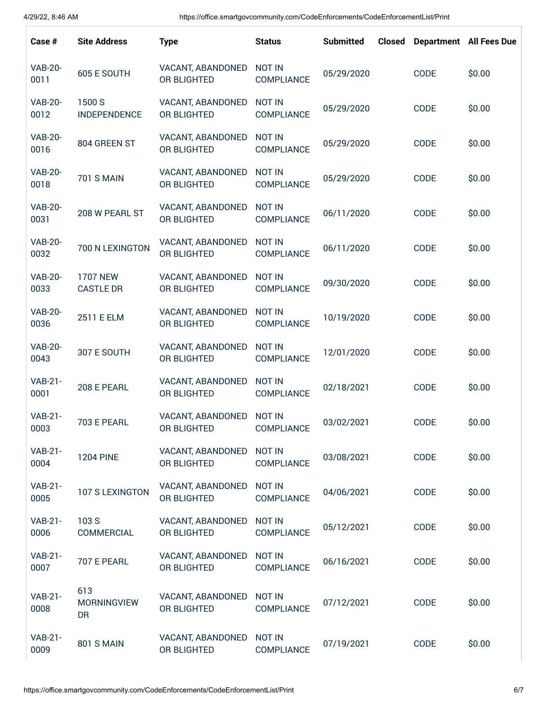| Case #                 | <b>Site Address</b>                 | <b>Type</b>                      | <b>Status</b>                      | <b>Submitted</b> | <b>Closed</b> |             | <b>Department</b> All Fees Due |
|------------------------|-------------------------------------|----------------------------------|------------------------------------|------------------|---------------|-------------|--------------------------------|
| <b>VAB-20-</b><br>0011 | 605 E SOUTH                         | VACANT, ABANDONED<br>OR BLIGHTED | <b>NOT IN</b><br><b>COMPLIANCE</b> | 05/29/2020       |               | <b>CODE</b> | \$0.00                         |
| <b>VAB-20-</b><br>0012 | 1500 S<br><b>INDEPENDENCE</b>       | VACANT, ABANDONED<br>OR BLIGHTED | <b>NOT IN</b><br><b>COMPLIANCE</b> | 05/29/2020       |               | CODE        | \$0.00                         |
| <b>VAB-20-</b><br>0016 | 804 GREEN ST                        | VACANT, ABANDONED<br>OR BLIGHTED | <b>NOT IN</b><br><b>COMPLIANCE</b> | 05/29/2020       |               | CODE        | \$0.00                         |
| <b>VAB-20-</b><br>0018 | <b>701 S MAIN</b>                   | VACANT, ABANDONED<br>OR BLIGHTED | <b>NOT IN</b><br><b>COMPLIANCE</b> | 05/29/2020       |               | CODE        | \$0.00                         |
| <b>VAB-20-</b><br>0031 | 208 W PEARL ST                      | VACANT, ABANDONED<br>OR BLIGHTED | <b>NOT IN</b><br><b>COMPLIANCE</b> | 06/11/2020       |               | <b>CODE</b> | \$0.00                         |
| <b>VAB-20-</b><br>0032 | 700 N LEXINGTON                     | VACANT, ABANDONED<br>OR BLIGHTED | <b>NOT IN</b><br><b>COMPLIANCE</b> | 06/11/2020       |               | CODE        | \$0.00                         |
| <b>VAB-20-</b><br>0033 | <b>1707 NEW</b><br><b>CASTLE DR</b> | VACANT, ABANDONED<br>OR BLIGHTED | <b>NOT IN</b><br><b>COMPLIANCE</b> | 09/30/2020       |               | <b>CODE</b> | \$0.00                         |
| <b>VAB-20-</b><br>0036 | 2511 E ELM                          | VACANT, ABANDONED<br>OR BLIGHTED | <b>NOT IN</b><br><b>COMPLIANCE</b> | 10/19/2020       |               | CODE        | \$0.00                         |
| <b>VAB-20-</b><br>0043 | 307 E SOUTH                         | VACANT, ABANDONED<br>OR BLIGHTED | <b>NOT IN</b><br><b>COMPLIANCE</b> | 12/01/2020       |               | <b>CODE</b> | \$0.00                         |
| <b>VAB-21-</b><br>0001 | 208 E PEARL                         | VACANT, ABANDONED<br>OR BLIGHTED | <b>NOT IN</b><br><b>COMPLIANCE</b> | 02/18/2021       |               | CODE        | \$0.00                         |
| <b>VAB-21-</b><br>0003 | 703 E PEARL                         | VACANT, ABANDONED<br>OR BLIGHTED | <b>NOT IN</b><br>COMPLIANCE        | 03/02/2021       |               | CODE        | \$0.00                         |
| <b>VAB-21-</b><br>0004 | <b>1204 PINE</b>                    | VACANT, ABANDONED<br>OR BLIGHTED | <b>NOT IN</b><br>COMPLIANCE        | 03/08/2021       |               | CODE        | \$0.00                         |
| <b>VAB-21-</b><br>0005 | 107 S LEXINGTON                     | VACANT, ABANDONED<br>OR BLIGHTED | <b>NOT IN</b><br>COMPLIANCE        | 04/06/2021       |               | CODE        | \$0.00                         |
| <b>VAB-21-</b><br>0006 | 103 S<br>COMMERCIAL                 | VACANT, ABANDONED<br>OR BLIGHTED | <b>NOT IN</b><br><b>COMPLIANCE</b> | 05/12/2021       |               | CODE        | \$0.00                         |
| <b>VAB-21-</b><br>0007 | 707 E PEARL                         | VACANT, ABANDONED<br>OR BLIGHTED | <b>NOT IN</b><br><b>COMPLIANCE</b> | 06/16/2021       |               | CODE        | \$0.00                         |
| <b>VAB-21-</b><br>0008 | 613<br><b>MORNINGVIEW</b><br>DR     | VACANT, ABANDONED<br>OR BLIGHTED | <b>NOT IN</b><br><b>COMPLIANCE</b> | 07/12/2021       |               | CODE        | \$0.00                         |
| <b>VAB-21-</b><br>0009 | 801 S MAIN                          | VACANT, ABANDONED<br>OR BLIGHTED | <b>NOT IN</b><br><b>COMPLIANCE</b> | 07/19/2021       |               | CODE        | \$0.00                         |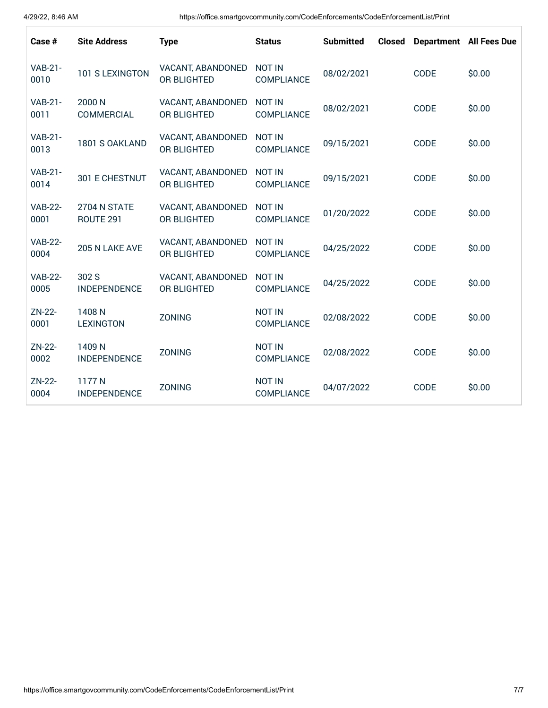| Case #                 | <b>Site Address</b>           | <b>Type</b>                      | <b>Status</b>                      | <b>Submitted</b> | <b>Closed</b> |      | <b>Department</b> All Fees Due |
|------------------------|-------------------------------|----------------------------------|------------------------------------|------------------|---------------|------|--------------------------------|
| <b>VAB-21-</b><br>0010 | 101 S LEXINGTON               | VACANT, ABANDONED<br>OR BLIGHTED | <b>NOT IN</b><br>COMPLIANCE        | 08/02/2021       |               | CODE | \$0.00                         |
| <b>VAB-21-</b><br>0011 | 2000 N<br>COMMERCIAL          | VACANT, ABANDONED<br>OR BLIGHTED | <b>NOT IN</b><br>COMPLIANCE        | 08/02/2021       |               | CODE | \$0.00                         |
| <b>VAB-21-</b><br>0013 | 1801 S OAKLAND                | VACANT, ABANDONED<br>OR BLIGHTED | <b>NOT IN</b><br>COMPLIANCE        | 09/15/2021       |               | CODE | \$0.00                         |
| <b>VAB-21-</b><br>0014 | 301 E CHESTNUT                | VACANT, ABANDONED<br>OR BLIGHTED | <b>NOT IN</b><br>COMPLIANCE        | 09/15/2021       |               | CODE | \$0.00                         |
| <b>VAB-22-</b><br>0001 | 2704 N STATE<br>ROUTE 291     | VACANT, ABANDONED<br>OR BLIGHTED | <b>NOT IN</b><br><b>COMPLIANCE</b> | 01/20/2022       |               | CODE | \$0.00                         |
| <b>VAB-22-</b><br>0004 | 205 N LAKE AVE                | VACANT, ABANDONED<br>OR BLIGHTED | <b>NOT IN</b><br>COMPLIANCE        | 04/25/2022       |               | CODE | \$0.00                         |
| <b>VAB-22-</b><br>0005 | 302 S<br><b>INDEPENDENCE</b>  | VACANT, ABANDONED<br>OR BLIGHTED | <b>NOT IN</b><br><b>COMPLIANCE</b> | 04/25/2022       |               | CODE | \$0.00                         |
| ZN-22-<br>0001         | 1408N<br><b>LEXINGTON</b>     | <b>ZONING</b>                    | <b>NOT IN</b><br>COMPLIANCE        | 02/08/2022       |               | CODE | \$0.00                         |
| ZN-22-<br>0002         | 1409 N<br><b>INDEPENDENCE</b> | <b>ZONING</b>                    | <b>NOT IN</b><br><b>COMPLIANCE</b> | 02/08/2022       |               | CODE | \$0.00                         |
| ZN-22-<br>0004         | 1177N<br><b>INDEPENDENCE</b>  | <b>ZONING</b>                    | <b>NOT IN</b><br><b>COMPLIANCE</b> | 04/07/2022       |               | CODE | \$0.00                         |